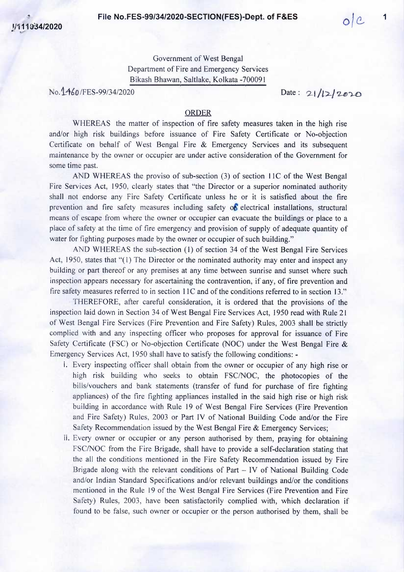Government of West Bengal Department of Fire and Emergency Services B ikash Bhawan, Saltlake, Kolkata -700091

No. 1460/FES-99/34/2020 Date: 21/12/2020

## **ORDER**

WHEREAS the matter of inspection of fire safety measures taken in the high rise and/or high risk buildings before issuance of Fire Safety Certificate or No-objection Certificate on behalf of West Bengal Fire & Emergency Services and its subsequent maintenance by the owner or occupier are under active consideration of the Government for some time past.

AND WHEREAS the proviso of sub-section (3) of section I lC of the West Bengal Fire Services Act, 1950, clearly states that "the Director or a superior nominated authority shall not endorse any Fire Safety Certificate unless he or it is satisfied about the fire prevention and fire safety measures including safety *oS* electrical installations, structural means of escape from where the owner or occupier can evacuate the buildings or place to a place of safety at the time of fire emergency and provision of supply of adequate quantity of water for fighting purposes made by the owner or occupier of such building."

AND WHEREAS the sub-section (1) of section 34 of the West Bengal Fire Services Act, 1950, states that "(I) The Director or the nominated authority may enter and inspect any building or part thereof or any premises at any time between sunrise and sunset where such inspection appears necessary for ascertaining the contravention, if any, of fire prevention and fire safety measures referred to in section 11C and of the conditions referred to in section 13."

THEREFORE, after careful consideration, it is ordered that the provisions of the inspection laid down in Section 34 of West Bengal Fire Services Act, 1950 read with Rule 21 of West Bengal Fire Services (Fire Prevention and Fire Safety) Rules, 2003 shall be strictly complied with and any inspecting officer who proposes for approval for issuance of Fire Safety Certificate (FSC) or No-objection Certificate (NOC) under the West Bengal Fire & Emergency Services Act, 1950 shall have to satisfy the following conditions: -

- i. Every inspecting officer shall obtain from the owner or occupier of any high rise or high risk building who seeks to obtain FSC/NOC, the photocopies of the bills/vouchers and bank statements (transfer of fund for purchase of fire fighting appliances) of the fire fighting appliances installed in the said high rise or high risk building in accordance with Rule 19 of West Bengal Fire Services (Fire Prevention and Fire Safety) Rules, 2003 or Part IV of National Building Code and/or the Fire Safety Recommendation issued by the West Bengal Fire & Emergency Services;
- ii. Every owner or occupier or any person authorised by them, praying for obtaining FSC/NOC from the Fire Brigade, shall have to provide a self-declaration stating that the all the conditions mentioned in the Fire Safety Recommendation issued by Fire Brigade along with the relevant conditions of Part - IV of National Building Code and/or Indian Standard Specifications and/or relevant buildings and/or the conditions mentioned in the Rule 19 of the West Bengal Fire Services (Fire Prevention and Fire Safety) Rules, 2003, have been satisfactorily complied with, which declaration if found to be false, such owner or occupier or the person authorised by them, shall be